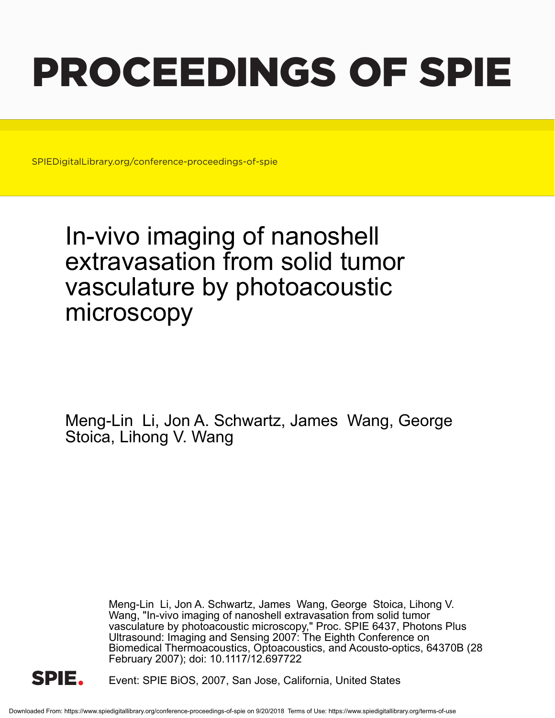# PROCEEDINGS OF SPIE

SPIEDigitalLibrary.org/conference-proceedings-of-spie

## In-vivo imaging of nanoshell extravasation from solid tumor vasculature by photoacoustic microscopy

Meng-Lin Li, Jon A. Schwartz, James Wang, George Stoica, Lihong V. Wang

> Meng-Lin Li, Jon A. Schwartz, James Wang, George Stoica, Lihong V. Wang, "In-vivo imaging of nanoshell extravasation from solid tumor vasculature by photoacoustic microscopy," Proc. SPIE 6437, Photons Plus Ultrasound: Imaging and Sensing 2007: The Eighth Conference on Biomedical Thermoacoustics, Optoacoustics, and Acousto-optics, 64370B (28 February 2007); doi: 10.1117/12.697722



Event: SPIE BiOS, 2007, San Jose, California, United States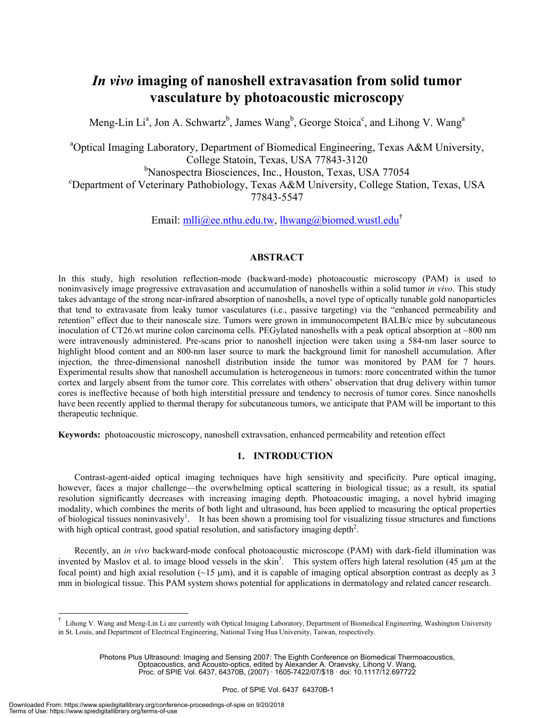### *In vivo* **imaging of nanoshell extravasation from solid tumor vasculature by photoacoustic microscopy**

Meng-Lin Li<sup>a</sup>, Jon A. Schwartz<sup>b</sup>, James Wang<sup>b</sup>, George Stoica<sup>c</sup>, and Lihong V. Wang<sup>a</sup>

<sup>a</sup>Optical Imaging Laboratory, Department of Biomedical Engineering, Texas A&M University, College Statoin, Texas, USA 77843-3120 <sup>b</sup>Nanospectra Biosciences, Inc., Houston, Texas, USA 77054 Department of Veterinary Pathobiology, Texas A&M University, College Station, Texas, USA 77843-5547

Email: mlli@ee.nthu.edu.tw, lhwang@biomed.wustl.edu<sup>†</sup>

#### **ABSTRACT**

In this study, high resolution reflection-mode (backward-mode) photoacoustic microscopy (PAM) is used to noninvasively image progressive extravasation and accumulation of nanoshells within a solid tumor *in vivo*. This study takes advantage of the strong near-infrared absorption of nanoshells, a novel type of optically tunable gold nanoparticles that tend to extravasate from leaky tumor vasculatures (i.e., passive targeting) via the "enhanced permeability and retention" effect due to their nanoscale size. Tumors were grown in immunocompetent BALB/c mice by subcutaneous inoculation of CT26.wt murine colon carcinoma cells. PEGylated nanoshells with a peak optical absorption at ~800 nm were intravenously administered. Pre-scans prior to nanoshell injection were taken using a 584-nm laser source to highlight blood content and an 800-nm laser source to mark the background limit for nanoshell accumulation. After injection, the three-dimensional nanoshell distribution inside the tumor was monitored by PAM for 7 hours. Experimental results show that nanoshell accumulation is heterogeneous in tumors: more concentrated within the tumor cortex and largely absent from the tumor core. This correlates with others' observation that drug delivery within tumor cores is ineffective because of both high interstitial pressure and tendency to necrosis of tumor cores. Since nanoshells have been recently applied to thermal therapy for subcutaneous tumors, we anticipate that PAM will be important to this therapeutic technique.

**Keywords:** photoacoustic microscopy, nanoshell extravsation, enhanced permeability and retention effect

#### **1. INTRODUCTION**

Contrast-agent-aided optical imaging techniques have high sensitivity and specificity. Pure optical imaging, however, faces a major challenge—the overwhelming optical scattering in biological tissue; as a result, its spatial resolution significantly decreases with increasing imaging depth. Photoacoustic imaging, a novel hybrid imaging modality, which combines the merits of both light and ultrasound, has been applied to measuring the optical properties of biological tissues noninvasively<sup>1</sup>. It has been shown a promising tool for visualizing tissue structures and functions with high optical contrast, good spatial resolution, and satisfactory imaging depth<sup>2</sup>.

Recently, an *in vivo* backward-mode confocal photoacoustic microscope (PAM) with dark-field illumination was invented by Maslov et al. to image blood vessels in the skin<sup>3</sup>. This system offers high lateral resolution (45  $\mu$ m at the focal point) and high axial resolution  $(\sim 15 \mu m)$ , and it is capable of imaging optical absorption contrast as deeply as 3 mm in biological tissue. This PAM system shows potential for applications in dermatology and related cancer research.

 $\overline{a}$ 

<sup>†</sup> Lihong V. Wang and Meng-Lin Li are currently with Optical Imaging Laboratory, Department of Biomedical Engineering, Washington University in St. Louis, and Department of Electrical Engineering, National Tsing Hua University, Taiwan, respectively.

Photons Plus Ultrasound: Imaging and Sensing 2007: The Eighth Conference on Biomedical Thermoacoustics, Optoacoustics, and Acousto-optics, edited by Alexander A. Oraevsky, Lihong V. Wang, Proc. of SPIE Vol. 6437, 64370B, (2007) · 1605-7422/07/\$18 · doi: 10.1117/12.697722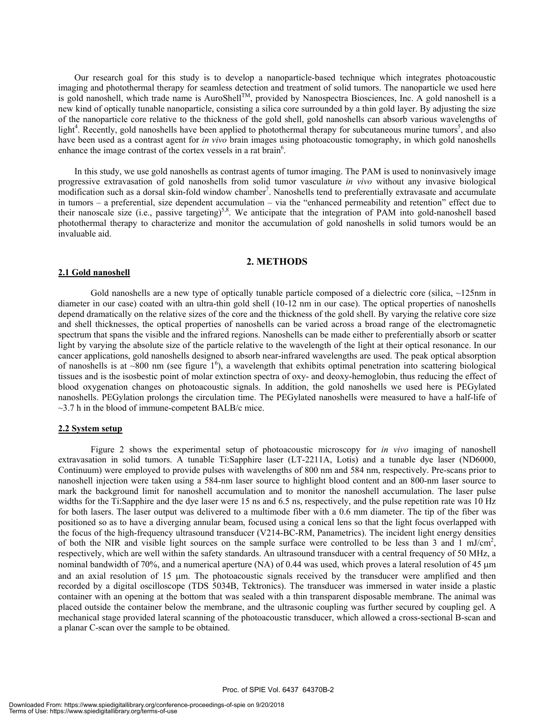Our research goal for this study is to develop a nanoparticle-based technique which integrates photoacoustic imaging and photothermal therapy for seamless detection and treatment of solid tumors. The nanoparticle we used here is gold nanoshell, which trade name is AuroShell<sup>TM</sup>, provided by Nanospectra Biosciences, Inc. A gold nanoshell is a new kind of optically tunable nanoparticle, consisting a silica core surrounded by a thin gold layer. By adjusting the size of the nanoparticle core relative to the thickness of the gold shell, gold nanoshells can absorb various wavelengths of light<sup>4</sup>. Recently, gold nanoshells have been applied to photothermal therapy for subcutaneous murine tumors<sup>5</sup>, and also have been used as a contrast agent for *in vivo* brain images using photoacoustic tomography, in which gold nanoshells enhance the image contrast of the cortex vessels in a rat brain<sup>6</sup>.

In this study, we use gold nanoshells as contrast agents of tumor imaging. The PAM is used to noninvasively image progressive extravasation of gold nanoshells from solid tumor vasculature *in vivo* without any invasive biological  $m$ odification such as a dorsal skin-fold window chamber<sup>7</sup>. Nanoshells tend to preferentially extravasate and accumulate in tumors – a preferential, size dependent accumulation – via the "enhanced permeability and retention" effect due to their nanoscale size (i.e., passive targeting)<sup>5,8</sup>. We anticipate that the integration of PAM into gold-nanoshell based photothermal therapy to characterize and monitor the accumulation of gold nanoshells in solid tumors would be an invaluable aid.

#### **2. METHODS**

#### **2.1 Gold nanoshell**

Gold nanoshells are a new type of optically tunable particle composed of a dielectric core (silica,  $\sim$ 125nm in diameter in our case) coated with an ultra-thin gold shell (10-12 nm in our case). The optical properties of nanoshells depend dramatically on the relative sizes of the core and the thickness of the gold shell. By varying the relative core size and shell thicknesses, the optical properties of nanoshells can be varied across a broad range of the electromagnetic spectrum that spans the visible and the infrared regions. Nanoshells can be made either to preferentially absorb or scatter light by varying the absolute size of the particle relative to the wavelength of the light at their optical resonance. In our cancer applications, gold nanoshells designed to absorb near-infrared wavelengths are used. The peak optical absorption of nanoshells is at  $\sim800$  nm (see figure  $1^6$ ), a wavelength that exhibits optimal penetration into scattering biological tissues and is the isosbestic point of molar extinction spectra of oxy- and deoxy-hemoglobin, thus reducing the effect of blood oxygenation changes on photoacoustic signals. In addition, the gold nanoshells we used here is PEGylated nanoshells. PEGylation prolongs the circulation time. The PEGylated nanoshells were measured to have a half-life of  $\sim$ 3.7 h in the blood of immune-competent BALB/c mice.

#### **2.2 System setup**

Figure 2 shows the experimental setup of photoacoustic microscopy for *in vivo* imaging of nanoshell extravasation in solid tumors. A tunable Ti:Sapphire laser (LT-2211A, Lotis) and a tunable dye laser (ND6000, Continuum) were employed to provide pulses with wavelengths of 800 nm and 584 nm, respectively. Pre-scans prior to nanoshell injection were taken using a 584-nm laser source to highlight blood content and an 800-nm laser source to mark the background limit for nanoshell accumulation and to monitor the nanoshell accumulation. The laser pulse widths for the Ti:Sapphire and the dye laser were 15 ns and 6.5 ns, respectively, and the pulse repetition rate was 10 Hz for both lasers. The laser output was delivered to a multimode fiber with a 0.6 mm diameter. The tip of the fiber was positioned so as to have a diverging annular beam, focused using a conical lens so that the light focus overlapped with the focus of the high-frequency ultrasound transducer (V214-BC-RM, Panametrics). The incident light energy densities of both the NIR and visible light sources on the sample surface were controlled to be less than 3 and 1 mJ/cm<sup>2</sup>, respectively, which are well within the safety standards. An ultrasound transducer with a central frequency of 50 MHz, a nominal bandwidth of 70%, and a numerical aperture (NA) of 0.44 was used, which proves a lateral resolution of 45  $\mu$ m and an axial resolution of 15 µm. The photoacoustic signals received by the transducer were amplified and then recorded by a digital oscilloscope (TDS 5034B, Tektronics). The transducer was immersed in water inside a plastic container with an opening at the bottom that was sealed with a thin transparent disposable membrane. The animal was placed outside the container below the membrane, and the ultrasonic coupling was further secured by coupling gel. A mechanical stage provided lateral scanning of the photoacoustic transducer, which allowed a cross-sectional B-scan and a planar C-scan over the sample to be obtained.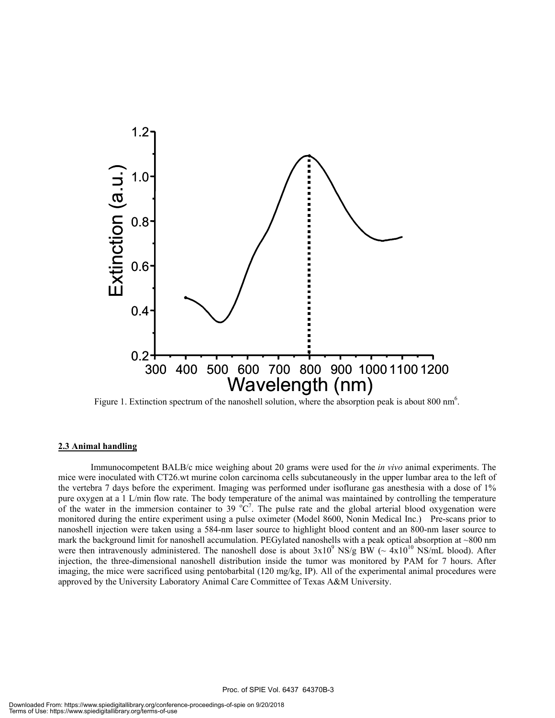

Figure 1. Extinction spectrum of the nanoshell solution, where the absorption peak is about 800 nm<sup>6</sup>.

#### **2.3 Animal handling**

Immunocompetent BALB/c mice weighing about 20 grams were used for the *in vivo* animal experiments. The mice were inoculated with CT26.wt murine colon carcinoma cells subcutaneously in the upper lumbar area to the left of the vertebra 7 days before the experiment. Imaging was performed under isoflurane gas anesthesia with a dose of 1% pure oxygen at a 1 L/min flow rate. The body temperature of the animal was maintained by controlling the temperature of the water in the immersion container to 39  $\degree$ C<sup>7</sup>. The pulse rate and the global arterial blood oxygenation were monitored during the entire experiment using a pulse oximeter (Model 8600, Nonin Medical Inc.) Pre-scans prior to nanoshell injection were taken using a 584-nm laser source to highlight blood content and an 800-nm laser source to mark the background limit for nanoshell accumulation. PEGylated nanoshells with a peak optical absorption at  $\sim$ 800 nm were then intravenously administered. The nanoshell dose is about  $3x10^9$  NS/g BW ( $\sim 4x10^{10}$  NS/mL blood). After injection, the three-dimensional nanoshell distribution inside the tumor was monitored by PAM for 7 hours. After imaging, the mice were sacrificed using pentobarbital (120 mg/kg, IP). All of the experimental animal procedures were approved by the University Laboratory Animal Care Committee of Texas A&M University.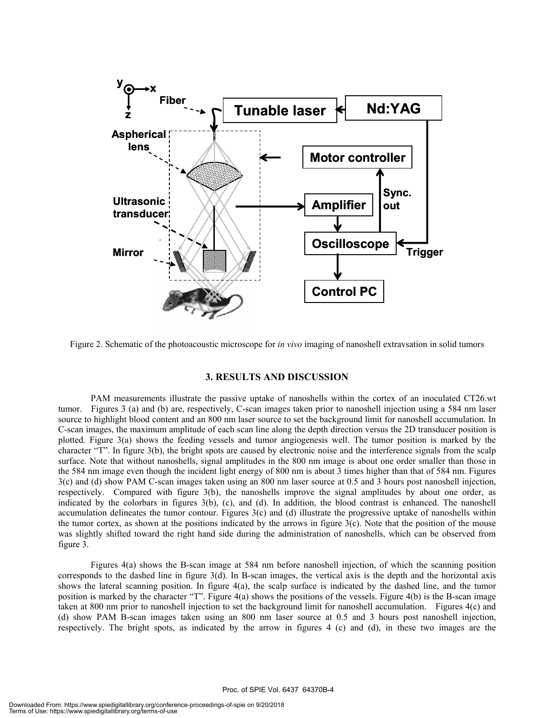

Figure 2. Schematic of the photoacoustic microscope for *in vivo* imaging of nanoshell extravsation in solid tumors

#### **3. RESULTS AND DISCUSSION**

PAM measurements illustrate the passive uptake of nanoshells within the cortex of an inoculated CT26.wt tumor. Figures 3 (a) and (b) are, respectively, C-scan images taken prior to nanoshell injection using a 584 nm laser source to highlight blood content and an 800 nm laser source to set the background limit for nanoshell accumulation. In C-scan images, the maximum amplitude of each scan line along the depth direction versus the 2D transducer position is plotted. Figure 3(a) shows the feeding vessels and tumor angiogenesis well. The tumor position is marked by the character "T". In figure 3(b), the bright spots are caused by electronic noise and the interference signals from the scalp surface. Note that without nanoshells, signal amplitudes in the 800 nm image is about one order smaller than those in the 584 nm image even though the incident light energy of 800 nm is about 3 times higher than that of 584 nm. Figures 3(c) and (d) show PAM C-scan images taken using an 800 nm laser source at 0.5 and 3 hours post nanoshell injection, respectively. Compared with figure 3(b), the nanoshells improve the signal amplitudes by about one order, as indicated by the colorbars in figures 3(b), (c), and (d). In addition, the blood contrast is enhanced. The nanoshell accumulation delineates the tumor contour. Figures  $3(c)$  and (d) illustrate the progressive uptake of nanoshells within the tumor cortex, as shown at the positions indicated by the arrows in figure  $3(c)$ . Note that the position of the mouse was slightly shifted toward the right hand side during the administration of nanoshells, which can be observed from figure 3.

Figures 4(a) shows the B-scan image at 584 nm before nanoshell injection, of which the scanning position corresponds to the dashed line in figure 3(d). In B-scan images, the vertical axis is the depth and the horizontal axis shows the lateral scanning position. In figure  $4(a)$ , the scalp surface is indicated by the dashed line, and the tumor position is marked by the character "T". Figure 4(a) shows the positions of the vessels. Figure 4(b) is the B-scan image taken at 800 nm prior to nanoshell injection to set the background limit for nanoshell accumulation. Figures 4(c) and (d) show PAM B-scan images taken using an 800 nm laser source at 0.5 and 3 hours post nanoshell injection, respectively. The bright spots, as indicated by the arrow in figures 4 (c) and (d), in these two images are the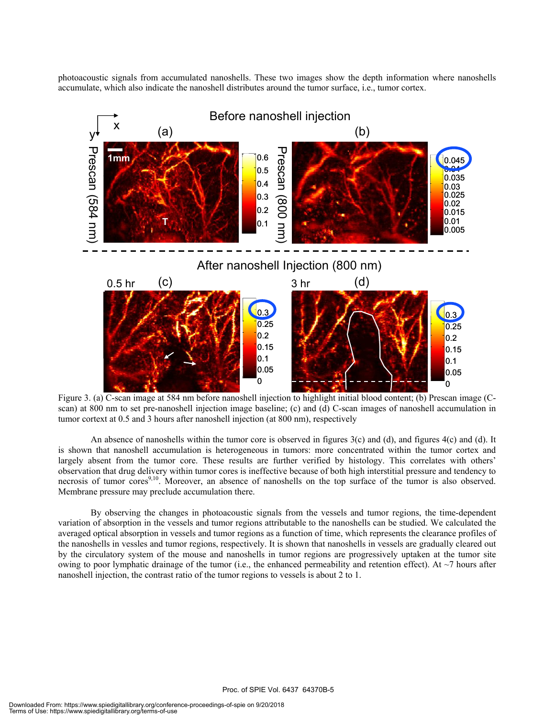photoacoustic signals from accumulated nanoshells. These two images show the depth information where nanoshells accumulate, which also indicate the nanoshell distributes around the tumor surface, i.e., tumor cortex.



Figure 3. (a) C-scan image at 584 nm before nanoshell injection to highlight initial blood content; (b) Prescan image (Cscan) at 800 nm to set pre-nanoshell injection image baseline; (c) and (d) C-scan images of nanoshell accumulation in tumor cortext at 0.5 and 3 hours after nanoshell injection (at 800 nm), respectively

An absence of nanoshells within the tumor core is observed in figures  $3(c)$  and  $(d)$ , and figures  $4(c)$  and  $(d)$ . It is shown that nanoshell accumulation is heterogeneous in tumors: more concentrated within the tumor cortex and largely absent from the tumor core. These results are further verified by histology. This correlates with others' observation that drug delivery within tumor cores is ineffective because of both high interstitial pressure and tendency to necrosis of tumor cores<sup>9,10</sup>. Moreover, an absence of nanoshells on the top surface of the tumor is also observed. Membrane pressure may preclude accumulation there.

By observing the changes in photoacoustic signals from the vessels and tumor regions, the time-dependent variation of absorption in the vessels and tumor regions attributable to the nanoshells can be studied. We calculated the averaged optical absorption in vessels and tumor regions as a function of time, which represents the clearance profiles of the nanoshells in vessles and tumor regions, respectively. It is shown that nanoshells in vessels are gradually cleared out by the circulatory system of the mouse and nanoshells in tumor regions are progressively uptaken at the tumor site owing to poor lymphatic drainage of the tumor (i.e., the enhanced permeability and retention effect). At  $\sim$ 7 hours after nanoshell injection, the contrast ratio of the tumor regions to vessels is about 2 to 1.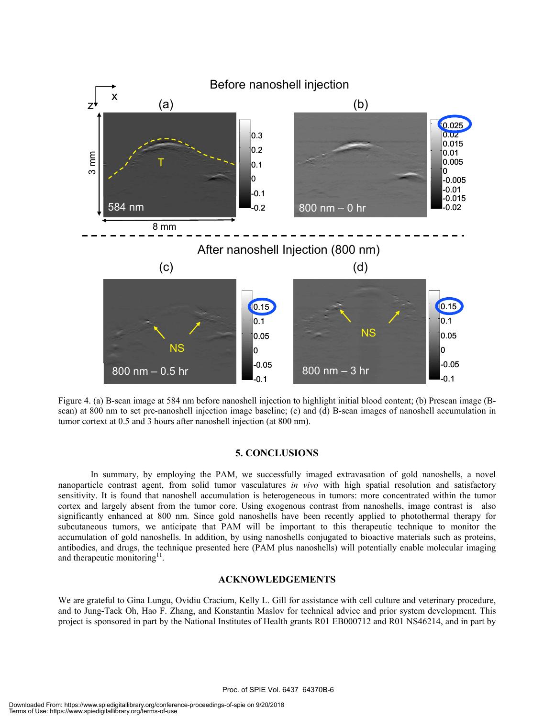

Figure 4. (a) B-scan image at 584 nm before nanoshell injection to highlight initial blood content; (b) Prescan image (Bscan) at 800 nm to set pre-nanoshell injection image baseline; (c) and (d) B-scan images of nanoshell accumulation in tumor cortext at 0.5 and 3 hours after nanoshell injection (at 800 nm).

#### **5. CONCLUSIONS**

In summary, by employing the PAM, we successfully imaged extravasation of gold nanoshells, a novel nanoparticle contrast agent, from solid tumor vasculatures *in vivo* with high spatial resolution and satisfactory sensitivity. It is found that nanoshell accumulation is heterogeneous in tumors: more concentrated within the tumor cortex and largely absent from the tumor core. Using exogenous contrast from nanoshells, image contrast is also significantly enhanced at 800 nm. Since gold nanoshells have been recently applied to photothermal therapy for subcutaneous tumors, we anticipate that PAM will be important to this therapeutic technique to monitor the accumulation of gold nanoshells. In addition, by using nanoshells conjugated to bioactive materials such as proteins, antibodies, and drugs, the technique presented here (PAM plus nanoshells) will potentially enable molecular imaging and therapeutic monitoring $11$ .

#### **ACKNOWLEDGEMENTS**

We are grateful to Gina Lungu, Ovidiu Cracium, Kelly L. Gill for assistance with cell culture and veterinary procedure, and to Jung-Taek Oh, Hao F. Zhang, and Konstantin Maslov for technical advice and prior system development. This project is sponsored in part by the National Institutes of Health grants R01 EB000712 and R01 NS46214, and in part by